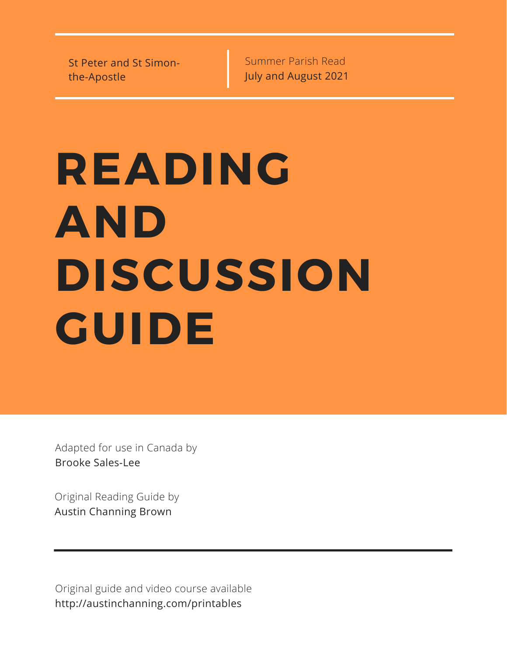St Peter and St Simonthe-Apostle

Summer Parish Read July and August 2021

# **READING AND DISCUSSION GUIDE**

Adapted for use in Canada by Brooke Sales-Lee

Original Reading Guide by Austin Channing Brown

Original guide and video course available http://austinchanning.com/printables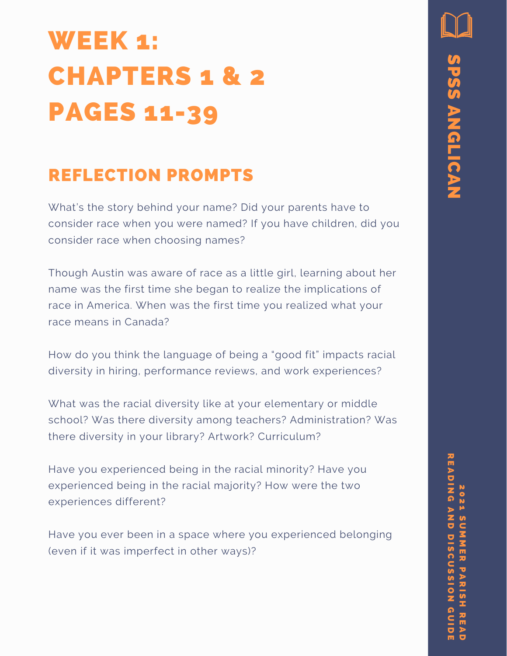### WEEK 1: CHAPTERS 1 & 2 PAGES 11-39

### REFLECTION PROMPTS

What's the story behind your name? Did your parents have to consider race when you were named? If you have children, did you consider race when choosing names?

Though Austin was aware of race as a little girl, learning about her name was the first time she began to realize the implications of race in America. When was the first time you realized what your race means in Canada?

How do you think the language of being a "good fit" impacts racial diversity in hiring, performance reviews, and work experiences?

What was the racial diversity like at your elementary or middle school? Was there diversity among teachers? Administration? Was there diversity in your library? Artwork? Curriculum?

Have you experienced being in the racial minority? Have you experienced being in the racial majority? How were the two experiences different?

Have you ever been in a space where you experienced belonging (even if it was imperfect in other ways)?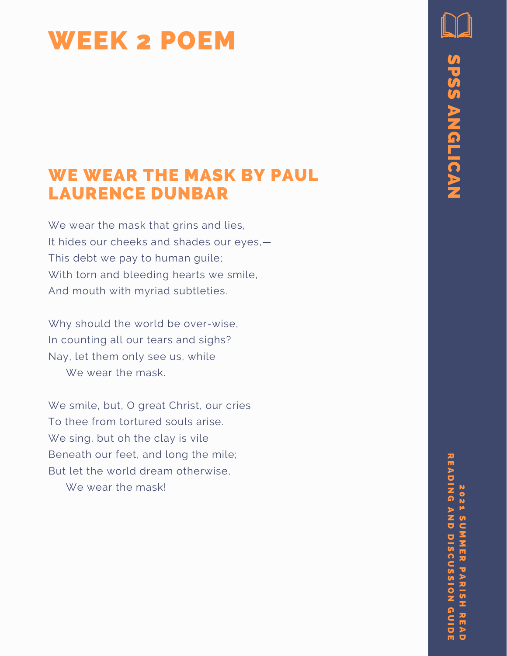### WEEK 2 POEM

#### WE WEAR THE MASK BY PAUL LAURENCE DUNBAR

We wear the mask that grins and lies, It hides our cheeks and shades our ey e s,— This debt we pay to human guile; With torn and bleeding hearts we s mil e, And mouth with myriad subtleties.

Why should the world be over-wise, In counting all our tears and sighs? Nay, let them only see us, while We wear the mask.

We smile, but, O great Christ, our cries To thee from tortured souls arise. We sing, but oh the clay is vile Beneath our feet, and long the mile; But let the world dream otherwise, E WEAR THE MASK BY PAUL<br>
URENCE DUNBAR<br>
wear the mask that grins and ties,<br>
ides our cheeks and shades our eyes.—<br>
stebt we pay to human guile.<br>
h torn and bleeding hearts we smile.<br>
In mouth with myriad subtleties.<br>
y sho

p<br>N n.  $\mathsf{C}$ 3. 3. E **R**  $\overline{\mathbf{v}}$ A カーの H 고<br>미 A D R E A D I N G A N D D I S C U S S I O N G U I D E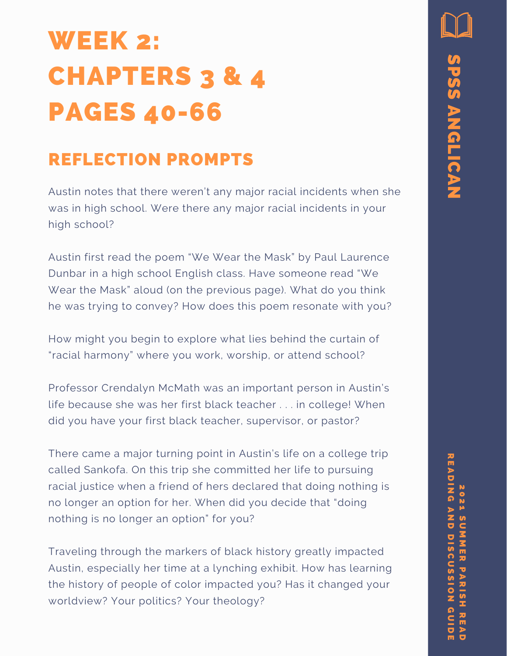### WEEK 2: CHAPTERS 3 & 4 PAGES 40-66

#### REFLECTION PROMPTS

Austin notes that there weren't any major racial incidents when she was in high school. Were there any major racial incidents in your high school?

Austin first read the poem "We Wear the Mask" by Paul Laurence Dunbar in a high school English class. Have someone read "We Wear the Mask" aloud (on the previous page). What do you think he was trying to convey? How does this poem resonate with you?

How might you begin to explore what lies behind the curtain of "racial harmony" where you work, worship, or attend school?

Professor Crendalyn McMath was an important person in Austin's life because she was her first black teacher . . . in college! When did you have your first black teacher, supervisor, or pastor?

There came a major turning point in Austin's life on a college trip called Sankofa. On this trip she committed her life to pursuing racial justice when a friend of hers declared that doing nothing is no longer an option for her. When did you decide that "doing nothing is no longer an option" for you?

Traveling through the markers of black history greatly impacted Austin, especially her time at a lynching exhibit. How has learning the history of people of color impacted you? Has it changed your worldview? Your politics? Your theology?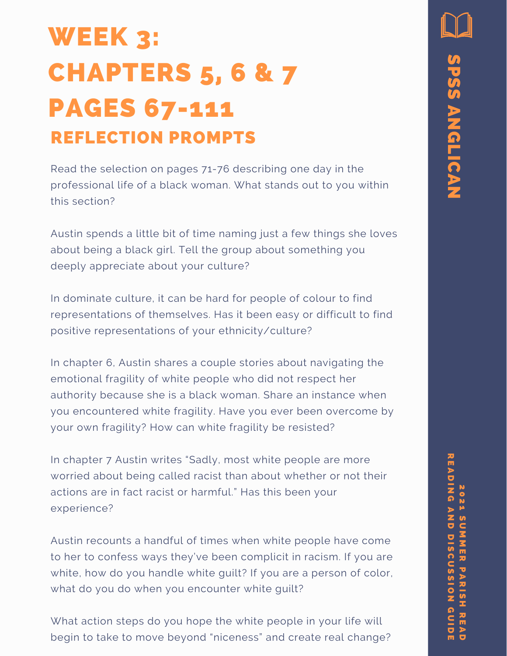### WEEK 3: CHAPTERS 5, 6 & 7 PAGES 67-111 REFLECTION PROMPTS

Read the selection on pages 71-76 describing one day in the professional life of a black woman. What stands out to you within this section?

Austin spends a little bit of time naming just a few things she loves about being a black girl. Tell the group about something you deeply appreciate about your culture?

In dominate culture, it can be hard for people of colour to find representations of themselves. Has it been easy or difficult to find positive representations of your ethnicity/culture?

In chapter 6, Austin shares a couple stories about navigating the emotional fragility of white people who did not respect her authority because she is a black woman. Share an instance when you encountered white fragility. Have you ever been overcome by your own fragility? How can white fragility be resisted?

In chapter 7 Austin writes "Sadly, most white people are more worried about being called racist than about whether or not their actions are in fact racist or harmful." Has this been your experience?

Austin recounts a handful of times when white people have come to her to confess ways they've been complicit in racism. If you are white, how do you handle white guilt? If you are a person of color, what do you do when you encounter white guilt?

What action steps do you hope the white people in your life will begin to take to move beyond "niceness" and create real change?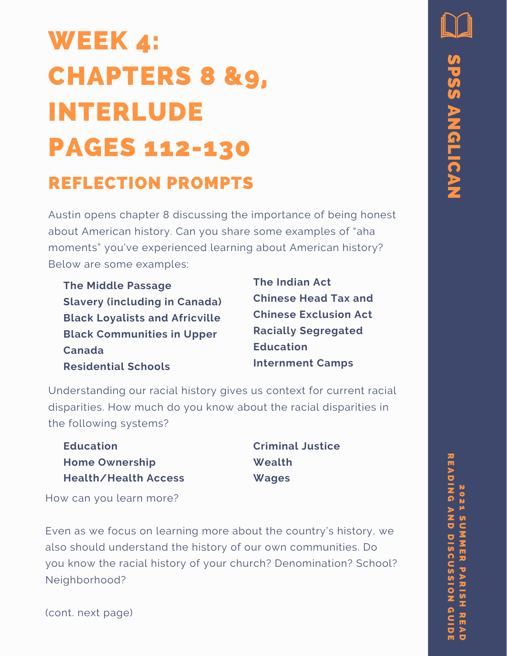# WEEK 4: CHAPTERS 8 &9, INTERLUDE PAGES 112-130

#### REFLECTION PROMPTS

Austin opens chapter 8 discussing the importance of being honest about American history. Can you share some examples of "aha moments" you've experienced learning about American history? Below are some examples:

**The Middle Passage Slavery (including in Canada) Black Loyalists and Africville Black Communities in Upper Canada Residential Schools**

**The Indian Act Chinese Head Tax and Chinese Exclusion Act Racially Segregated Education Internment Camps**

Understanding our racial history gives us context for current racial disparities. How much do you know about the racial disparities in the following systems?

**Education Home Ownership Health/Health Access** **Criminal Justice Wealth Wages**

How can you learn more?

Even as we focus on learning more about the country's history, we also should understand the history of our own communities. Do you know the racial history of your church? Denomination? School? Neighborhood?

(cont. next page)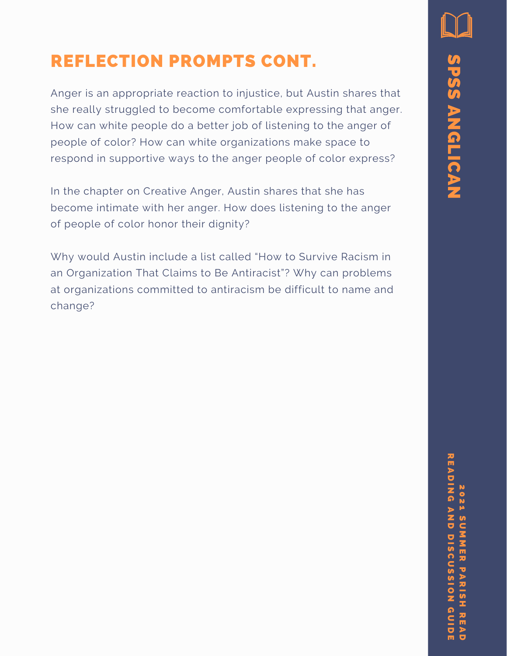### REFLECTION PROMPTS CONT.

Anger is an appropriate reaction to injustice, but Austin shares that she really struggled to become comfortable expressing that anger. How can white people do a better job of listening to the anger of people of color? How can white organizations make space to respond in supportive ways to the anger people of color express?

In the chapter on Creative Anger, Austin shares that she has become intimate with her anger. How does listening to the anger of people of color honor their dignity?

Why would Austin include a list called "How to Survive Racism in an Organization That Claims to Be Antiracist"? Why can problems at organizations committed to antiracism be difficult to name and change?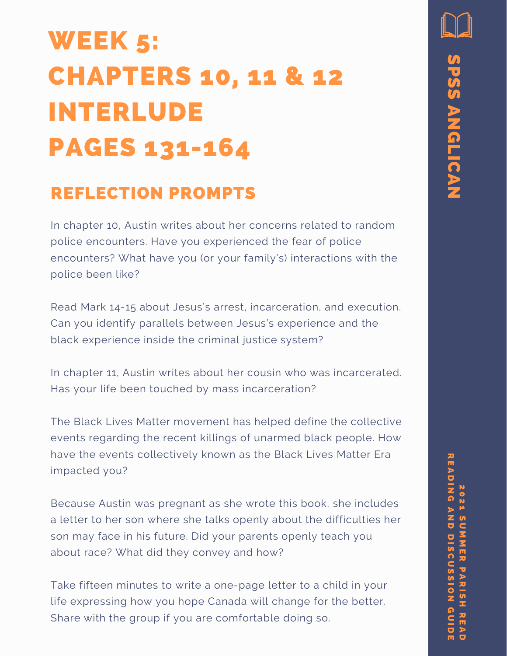### WEEK 5: CHAPTERS 10, 11 & 12 INTERLUDE PAGES 131-164

#### REFLECTION PROMPTS

In chapter 10, Austin writes about her concerns related to random police encounters. Have you experienced the fear of police encounters? What have you (or your family's) interactions with the police been like?

Read Mark 14-15 about Jesus's arrest, incarceration, and execution. Can you identify parallels between Jesus's experience and the black experience inside the criminal justice system?

In chapter 11, Austin writes about her cousin who was incarcerated. Has your life been touched by mass incarceration?

The Black Lives Matter movement has helped define the collective events regarding the recent killings of unarmed black people. How have the events collectively known as the Black Lives Matter Era impacted you?

Because Austin was pregnant as she wrote this book, she includes a letter to her son where she talks openly about the difficulties her son may face in his future. Did your parents openly teach you about race? What did they convey and how?

Take fifteen minutes to write a one-page letter to a child in your life expressing how you hope Canada will change for the better. Share with the group if you are comfortable doing so.